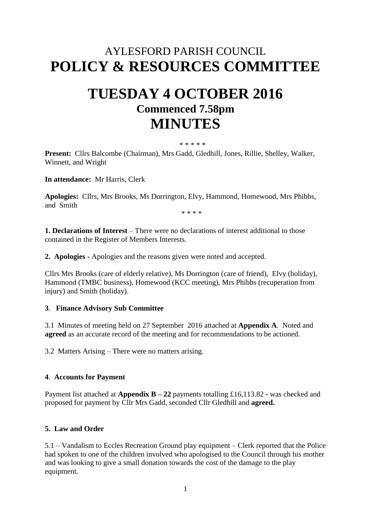# AYLESFORD PARISH COUNCIL **POLICY & RESOURCES COMMITTEE**

# **TUESDAY 4 OCTOBER 2016 Commenced 7.58pm MINUTES**

#### \* \* \* \* \*

**Present:** Cllrs Balcombe (Chairman), Mrs Gadd, Gledhill, Jones, Rillie, Shelley, Walker, Winnett, and Wright

**In attendance:** Mr Harris, Clerk

**Apologies:** Cllrs, Mrs Brooks, Ms Dorrington, Elvy, Hammond, Homewood, Mrs Phibbs, and Smith

\* \* \* \*

**1. Declarations of Interest** – There were no declarations of interest additional to those contained in the Register of Members Interests.

**2. Apologies -** Apologies and the reasons given were noted and accepted.

Cllrs Mrs Brooks (care of elderly relative), Ms Dorrington (care of friend), Elvy (holiday), Hammond (TMBC business), Homewood (KCC meeting), Mrs Phibbs (recuperation from injury) and Smith (holiday).

#### **3**. **Finance Advisory Sub Committee**

3.1 Minutes of meeting held on 27 September 2016 attached at **Appendix A**. Noted and **agreed** as an accurate record of the meeting and for recommendations to be actioned.

3.2 Matters Arising – There were no matters arising.

#### **4**. **Accounts for Payment**

Payment list attached at **Appendix B – 22** payments totalling £16,113.82 **-** was checked and proposed for payment by Cllr Mrs Gadd, seconded Cllr Gledhill and **agreed.**

#### **5. Law and Order**

5.1 – Vandalism to Eccles Recreation Ground play equipment – Clerk reported that the Police had spoken to one of the children involved who apologised to the Council through his mother and was looking to give a small donation towards the cost of the damage to the play equipment.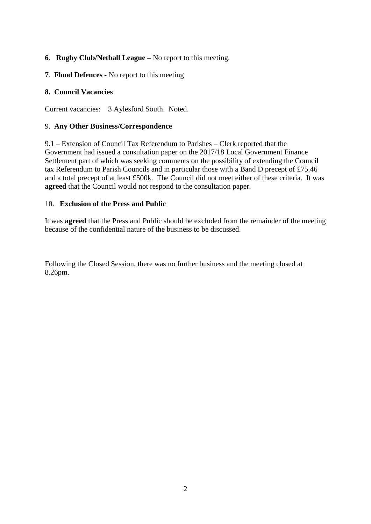## **6**. **Rugby Club/Netball League –** No report to this meeting.

**7**. **Flood Defences -** No report to this meeting

## **8. Council Vacancies**

Current vacancies: 3 Aylesford South. Noted.

## 9. **Any Other Business/Correspondence**

9.1 – Extension of Council Tax Referendum to Parishes – Clerk reported that the Government had issued a consultation paper on the 2017/18 Local Government Finance Settlement part of which was seeking comments on the possibility of extending the Council tax Referendum to Parish Councils and in particular those with a Band D precept of £75.46 and a total precept of at least £500k. The Council did not meet either of these criteria. It was **agreed** that the Council would not respond to the consultation paper.

#### 10. **Exclusion of the Press and Public**

It was **agreed** that the Press and Public should be excluded from the remainder of the meeting because of the confidential nature of the business to be discussed.

Following the Closed Session, there was no further business and the meeting closed at 8.26pm.